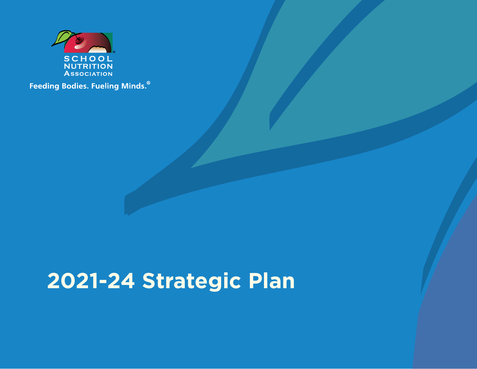

Feeding Bodies. Fueling Minds.<sup>®</sup>

## **2021-24 Strategic Plan**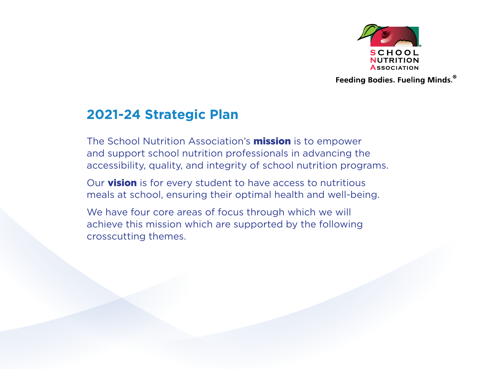

Feeding Bodies. Fueling Minds.<sup>®</sup>

### **2021-24 Strategic Plan**

The School Nutrition Association's **mission** is to empower and support school nutrition professionals in advancing the accessibility, quality, and integrity of school nutrition programs.

Our **vision** is for every student to have access to nutritious meals at school, ensuring their optimal health and well-being.

We have four core areas of focus through which we will achieve this mission which are supported by the following crosscutting themes.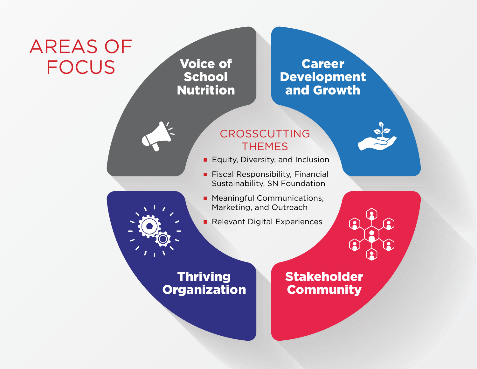# Areas of

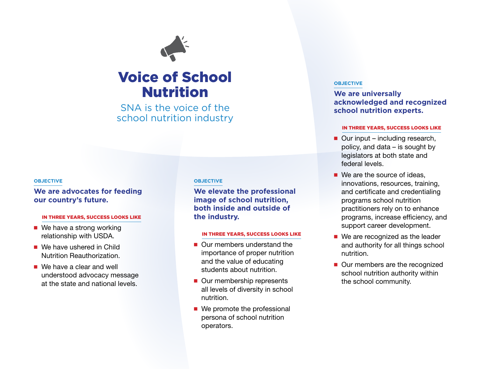

## Voice of School Nutrition

SNA is the voice of the school nutrition industry

#### **Objective**

#### **We are advocates for feeding our country's future.**

#### in three years, success looks like

- $\blacksquare$  We have a strong working relationship with USDA.
- $\blacksquare$  We have ushered in Child Nutrition Reauthorization.
- $\blacksquare$  We have a clear and well understood advocacy message at the state and national levels.

#### **Objective**

**We elevate the professional image of school nutrition, both inside and outside of the industry.**

#### in three years, success looks like

- $\blacksquare$  Our members understand the importance of proper nutrition and the value of educating students about nutrition.
- Our membership represents all levels of diversity in school nutrition.
- $\blacksquare$  We promote the professional persona of school nutrition operators.

#### **Objective**

#### **We are universally acknowledged and recognized school nutrition experts.**

- $\blacksquare$  Our input including research, policy, and data – is sought by legislators at both state and federal levels.
- $\blacksquare$  We are the source of ideas, innovations, resources, training, and certificate and credentialing programs school nutrition practitioners rely on to enhance programs, increase efficiency, and support career development.
- $\blacksquare$  We are recognized as the leader and authority for all things school nutrition.
- Our members are the recognized school nutrition authority within the school community.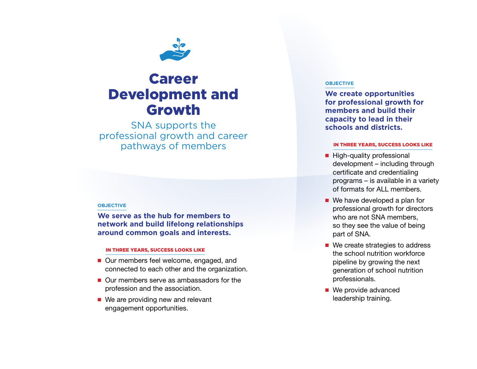

## Career Development and Growth

SNA supports the professional growth and career pathways of members

#### **Objective**

**We serve as the hub for members to network and build lifelong relationships around common goals and interests.**

#### in three years, success looks like

- Our members feel welcome, engaged, and connected to each other and the organization.
- $\blacksquare$  Our members serve as ambassadors for the profession and the association.
- $\blacksquare$  We are providing new and relevant engagement opportunities.

#### **Objective**

**We create opportunities for professional growth for members and build their capacity to lead in their schools and districts.**

- $\blacksquare$  High-quality professional development – including through certificate and credentialing programs – is available in a variety of formats for ALL members.
- $\blacksquare$  We have developed a plan for professional growth for directors who are not SNA members, so they see the value of being part of SNA.
- $\blacksquare$  We create strategies to address the school nutrition workforce pipeline by growing the next generation of school nutrition professionals.
- $\blacksquare$  We provide advanced leadership training.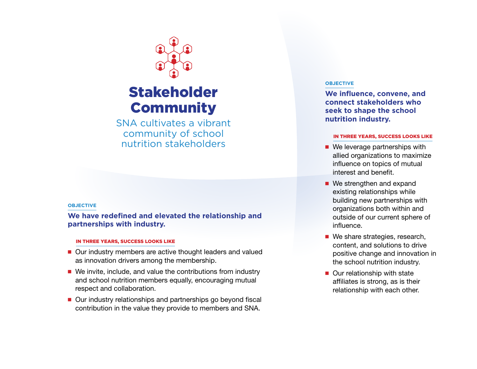

## Stakeholder **Community**

SNA cultivates a vibrant community of school nutrition stakeholders

#### **Objective**

**We have redefined and elevated the relationship and partnerships with industry.**

#### in three years, success looks like

- Our industry members are active thought leaders and valued as innovation drivers among the membership.
- $\blacksquare$  We invite, include, and value the contributions from industry and school nutrition members equally, encouraging mutual respect and collaboration.
- Our industry relationships and partnerships go beyond fiscal contribution in the value they provide to members and SNA.

#### **OBJECTIVE**

**We influence, convene, and connect stakeholders who seek to shape the school nutrition industry.**

- $\blacksquare$  We leverage partnerships with allied organizations to maximize influence on topics of mutual interest and benefit.
- $\blacksquare$  We strengthen and expand existing relationships while building new partnerships with organizations both within and outside of our current sphere of influence.
- $\blacksquare$  We share strategies, research, content, and solutions to drive positive change and innovation in the school nutrition industry.
- $\blacksquare$  Our relationship with state affiliates is strong, as is their relationship with each other.